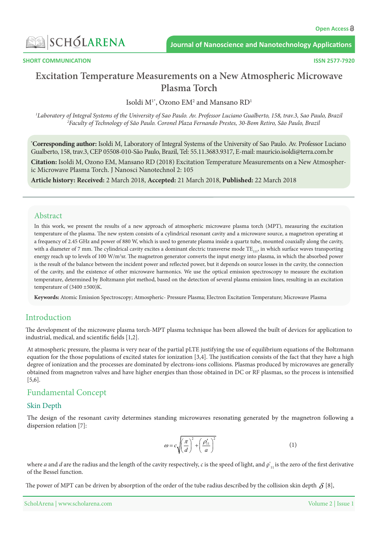

**COMMUNICATION** 

**2577-7920 ISSN** 

# **Excitation Temperature Measurements on a New Atmospheric Microwave Torch Plasma**

Isoldi  $M^{1*}$ , Ozono EM<sup>2</sup> and Mansano RD<sup>1</sup>

<sup>1</sup>Laboratory of Integral Systems of the University of Sao Paulo. Ay. Professor Luciano Gualberto, 158, trav.3, Sao Paulo, Brazil <sup>2</sup>Faculty of Technology of São Paulo. Coronel Plaza Fernando Prestes, 30-Bom Retiro, São Paulo, Brazil

\*Corresponding author: Isoldi M, Laboratory of Integral Systems of the University of Sao Paulo. Av. Professor Luciano Gualberto, 158, trav.3, CEP 05508-010-São Paulo, Brazil, Tel: 55.11.3683.9317, E-mail: mauricio isoldi@terra.com.br

**Citation:** Isoldi M, Ozono EM, Mansano RD (2018) Excitation Temperature Measurements on a New Atmospher-<br>ic Microwave Plasma Torch. J Nanosci Nanotechnol 2: 105

Article history: Received: 2 March 2018, Accepted: 21 March 2018, Published: 22 March 2018

#### Abstract

In this work, we present the results of a new approach of atmospheric microwave plasma torch (MPT), measuring the excitation temperature of the plasma. The new system consists of a cylindrical resonant cavity and a microwave source, a magnetron operating at a frequency of 2.45 GHz and power of 880 W, which is used to generate plasma inside a quartz tube, mounted coaxially along the cavity, with a diameter of 7 mm. The cylindrical cavity excites a dominant electric transverse mode  $TE_{11}$ , in which surface waves transporting energy reach up to levels of 100 W/m<sup>3</sup>sr. The magnetron generator converts the input energy into plasma, in which the absorbed power is the result of the balance between the incident power and reflected power, but it depends on source losses in the cavity, the connection of the cavity, and the existence of other microwave harmonics. We use the optical emission spectroscopy to measure the excitation temperature, determined by Boltzmann plot method, based on the detection of several plasma emission lines, resulting in an excitation temperature of  $(3400 \pm 500)$ K.

Keywords: Atomic Emission Spectroscopy; Atmospheric- Pressure Plasma; Electron Excitation Temperature; Microwave Plasma

# Introduction

The development of the microwave plasma torch-MPT plasma technique has been allowed the built of devices for application to industrial, medical, and scientific fields  $[1,2]$ .

At atmospheric pressure, the plasma is very near of the partial pLTE justifying the use of equilibrium equations of the Boltzmann equation for the those populations of excited states for ionization [3,4]. The justification consists of the fact that they have a high degree of ionization and the processes are dominated by electrons-ions collisions. Plasmas produced by microwaves are generally obtained from magnetron valves and have higher energies than those obtained in DC or RF plasmas, so the process is intensified  $[5,6]$ .

### Fundamental Concept

#### **Skin Depth**

The design of the resonant cavity determines standing microwaves resonating generated by the magnetron following a dispersion relation [7]:

$$
\omega = c \sqrt{\left(\frac{\pi}{d}\right)^2 + \left(\frac{\rho'_{11}}{a}\right)^2} \tag{1}
$$

where *a* and *d* are the radius and the length of the cavity respectively, *c* is the speed of light, and  $\rho'$ , is the zero of the first derivative of the Bessel function.

The power of MPT can be driven by absorption of the order of the tube radius described by the collision skin depth  $\delta$  [8],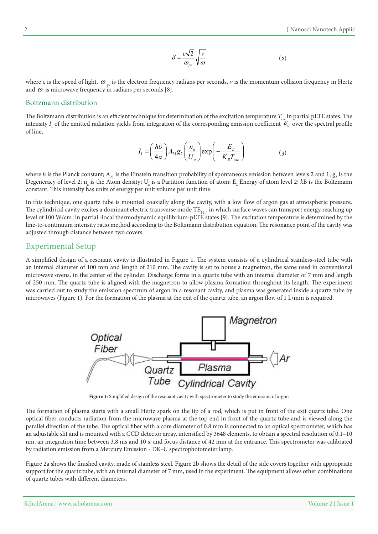$$
\delta = \frac{c\sqrt{2}}{\omega_{pe}} \sqrt{\frac{v}{\omega}}
$$
 (2)

where c is the speed of light,  $\omega_{\text{ne}}$  is the electron frequency radians per seconds, v is the momentum collision frequency in Hertz and  $\omega$  is microwave frequency in radians per seconds [8].

#### Boltzmann distribution

The Boltzmann distribution is an efficient technique for determination of the excitation temperature  $T_{exc}$  in partial pLTE states. The intensity  $I_1$  of the emitted radiation yields from integration of the corresponding emission coefficient  $\mathcal{E}_c$  over the spectral profile of line.

$$
I_1 = \left(\frac{h\nu}{4\pi}\right) A_{21} g_2 \left(\frac{n_a}{U_a}\right) \exp\left(-\frac{E_2}{K_B T_{exc}}\right) \tag{3}
$$

where *h* is the Planck constant;  $A_{21}$  is the Einstein transition probability of spontaneous emission between levels 2 and 1;  $g_2$  is the Degeneracy of level 2; n<sub>a</sub> is the Atom density; U<sub>a</sub> is a Partition function of atom; E<sub>2</sub> Energy of atom level 2; *k*B is the Boltzmann constant. This intensity has units of energy per unit volume per unit time.

In this technique, one quartz tube is mounted coaxially along the cavity, with a low flow of argon gas at atmospheric pressure. The cylindrical cavity excites a dominant electric transverse mode  $TE_{11}$ , in which surface waves can transport energy reaching up level of 100 W/cm<sup>3</sup> in partial -local thermodynamic equilibrium-pLTE states [9]. The excitation temperature is determined by the line-to-continuum intensity ratio method according to the Boltzmann distribution equation. The resonance point of the cavity was adjusted through distance between two covers.

# **Experimental Setup**

A simplified design of a resonant cavity is illustrated in Figure 1. The system consists of a cylindrical stainless-steel tube with an internal diameter of 100 mm and length of 210 mm. The cavity is set to house a magnetron, the same used in conventional microwave ovens, in the center of the cylinder. Discharge forms in a quartz tube with an internal diameter of 7 mm and length of 250 mm. The quartz tube is aligned with the magnetron to allow plasma formation throughout its length. The experiment was carried out to study the emission spectrum of argon in a resonant cavity, and plasma was generated inside a quartz tube by microwaves (Figure 1). For the formation of the plasma at the exit of the quartz tube, an argon flow of 1 L/min is required.



Figure 1: Simplified design of the resonant cavity with spectrometer to study the emission of argon

The formation of plasma starts with a small Hertz spark on the tip of a rod, which is put in front of the exit quartz tube. One optical fiber conducts radiation from the microwave plasma at the top end in front of the quartz tube and is viewed along the parallel direction of the tube. The optical fiber with a core diameter of 0.8 mm is connected to an optical spectrometer, which has an adjustable slit and is mounted with a CCD detector array, intensified by 3648 elements, to obtain a spectral resolution of 0.1-10 nm, an integration time between 3.8 ms and 10 s, and focus distance of 42 mm at the entrance. This spectrometer was calibrated by radiation emission from a Mercury Emission - DK-U spectrophotometer lamp.

Figure 2a shows the finished cavity, made of stainless steel. Figure 2b shows the detail of the side covers together with appropriate support for the quartz tube, with an internal diameter of 7 mm, used in the experiment. The equipment allows other combinations of quartz tubes with different diameters.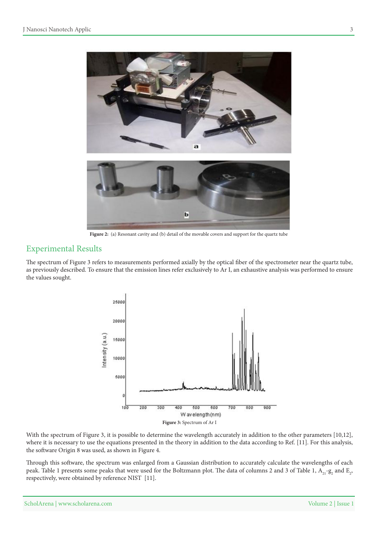

Figure 2: (a) Resonant cavity and (b) detail of the movable covers and support for the quartz tube

## **Experimental Results**

The spectrum of Figure 3 refers to measurements performed axially by the optical fiber of the spectrometer near the quartz tube, as previously described. To ensure that the emission lines refer exclusively to Ar I, an exhaustive analysis was performed to ensure the values sought.



With the spectrum of Figure 3, it is possible to determine the wavelength accurately in addition to the other parameters [10,12], where it is necessary to use the equations presented in the theory in addition to the data according to Ref. [11]. For this analysis, the software Origin 8 was used, as shown in Figure 4.

Through this software, the spectrum was enlarged from a Gaussian distribution to accurately calculate the wavelengths of each peak. Table 1 presents some peaks that were used for the Boltzmann plot. The data of columns 2 and 3 of Table 1,  $\rm A_{21}$ -g<sub>2</sub> and  $\rm E_{22}$ respectively, were obtained by reference NIST [11].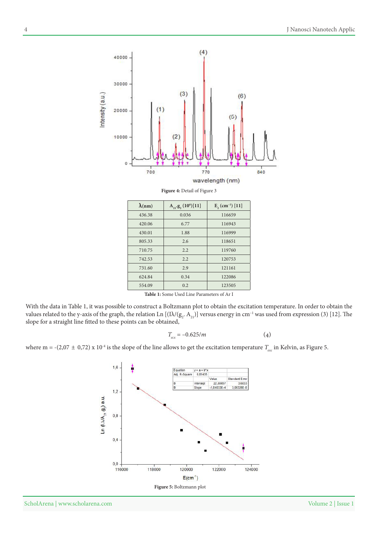$(4)$ 40000 30000  $(3)$ Intensity (a.u.)  $(6)$  $(1)$ 20000  $(5)$ 10000  $(2)$ 0 700 770 840 wavelength (nm)

Figure 4: Detail of Figure 3

| $\lambda$ (nm)                                    | $A_{21}$ g, $(10^6)[11]$ | $E, (cm^{-1})$ [11] |
|---------------------------------------------------|--------------------------|---------------------|
| 436.38                                            | 0.036                    | 116659              |
| 420.06                                            | 6.77                     | 116943              |
| 430.01                                            | 1.88                     | 116999              |
| 805.33                                            | 2.6                      | 118651              |
| 710.75                                            | 2.2                      | 119760              |
| 742.53                                            | 2.2                      | 120753              |
| 731.60                                            | 2.9                      | 121161              |
| 624.84                                            | 0.34                     | 122086              |
| 554.09                                            | 0.2                      | 123505              |
| <b>Table 1:</b> Some Used Line Parameters of Ar I |                          |                     |

With the data in Table 1, it was possible to construct a Boltzmann plot to obtain the excitation temperature. In order to obtain the values related to the y-axis of the graph, the relation Ln  $[(I\lambda/(g_2,A_{_{21}})]$  versus energy in cm<sup>-1</sup> was used from expression (3) [12]. The slope for a straight line fitted to these points can be obtained,

$$
T_{\text{exc}} = -0.625/m\tag{4}
$$

where m = -(2,07  $\pm$  0,72) x 10<sup>-4</sup> is the slope of the line allows to get the excitation temperature  $T_{\text{exc}}$  in Kelvin, as Figure 5.